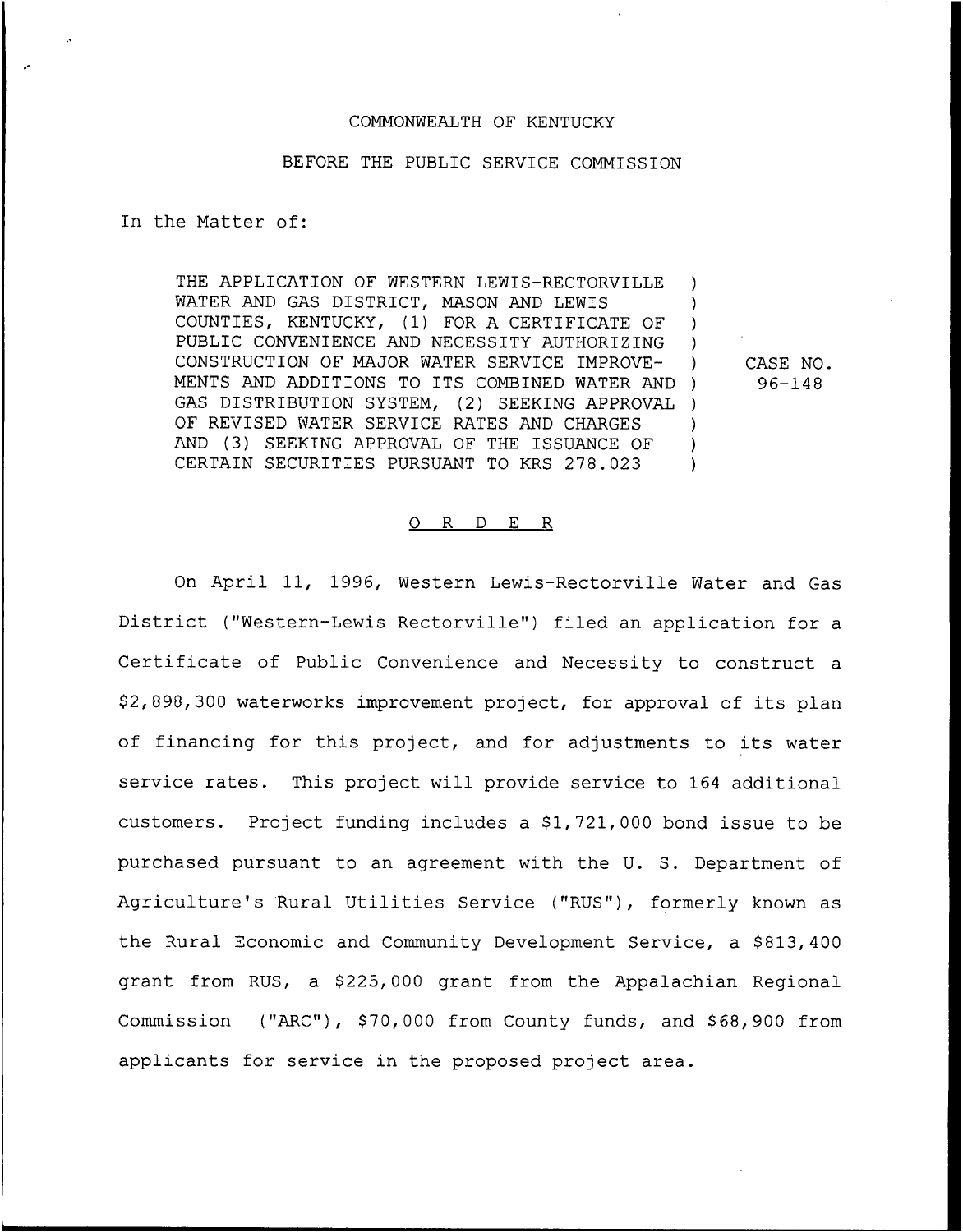# COMMONWEALTH OF KENTUCKY

### BEFORE THE PUBLIC SERVICE COMMISSION

In the Matter of:

THE APPLICATION OF WESTERN LEWIS-RECTORVILLE WATER AND GAS DISTRICT, MASON AND LEWIS COUNTIES, KENTUCKY, (1) FOR A CERTIFICATE OF PUBLIC CONVENIENCE AND NECESSITY AUTHORIZING CONSTRUCTION OF MAJOR WATER SERVICE IMPROVE-MENTS AND ADDITIONS TO ITS COMBINED WATER AND GAS DISTRIBUTION SYSTEM, (2) SEEKING APPROVAL QF REVISED WATER SERVICE RATES AND CHARGES AND (3) SEEKING APPROVAL OF THE ISSUANCE OF CERTAIN SECURITIES PURSUANT TO KRS 278.023 ) ) ) ) ) CASE NO.  $)$  96-148 ) ) ) )

#### 0 R <sup>D</sup> E R

On April 11, 1996, Western Lewis-Rectorville Water and Gas District ("Western-Lewis Rectorville") filed an application for <sup>a</sup> Certificate of Public Convenience and Necessity to construct a \$ 2, 898, 300 waterworks improvement project, for approval of its plan of financing for this project, and for adjustments to its water service rates. This project will provide service to 164 additional customers. Project funding includes a \$1,721,000 bond issue to be purchased pursuant to an agreement with the U. S. Department of Agriculture's Rural Utilities Service ("RUS"), formerly known as the Rural Economic and Community Development Service, a \$813,400 grant from RUS, a \$225,000 grant from the Appalachian Regional Commission ("ARC"), \$70,000 from County funds, and \$68,900 from applicants for service in the proposed project area.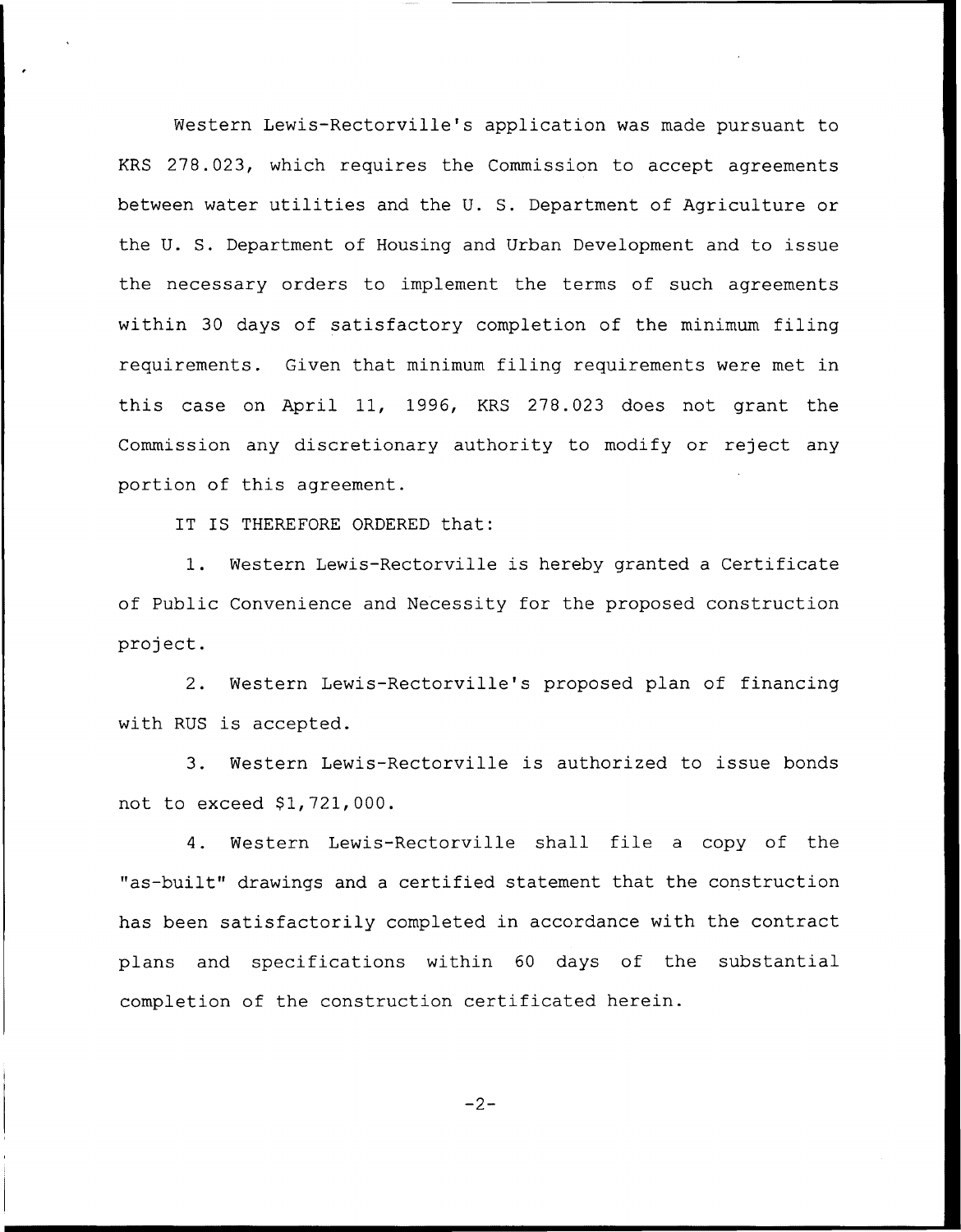Western Lewis-Rectorville's application was made pursuant to KRS 278.023, which requires the Commission to accept agreements between water utilities and the U. S. Department of Agriculture or the U. S. Department of Housing and Urban Development and to issue the necessary orders to implement the terms of such agreements within 30 days of satisfactory completion of the minimum filing requirements. Given that minimum filing requirements were met in this case on April 11, 1996, KRS 278.023 does not grant the Commission any discretionary authority to modify or reject any portion of this agreement.

IT IS THEREFORE ORDERED that:

1. Western Lewis-Rectorville is hereby granted <sup>a</sup> Certificate of Public Convenience and Necessity for the proposed construction project.

2. Western Lewis-Rectorville's proposed plan of financing with RUS is accepted.

3. Western Lewis-Rectorville is authorized to issue bonds not to exceed \$1,721,000.

4. Western Lewis-Rectorville shall file <sup>a</sup> copy of the "as-built" drawings and <sup>a</sup> certified statement. that the construction has been satisfactorily completed in accordance with the contract plans and specifications within 60 days of the substantial completion of the construction certificated herein.

$$
-2 -
$$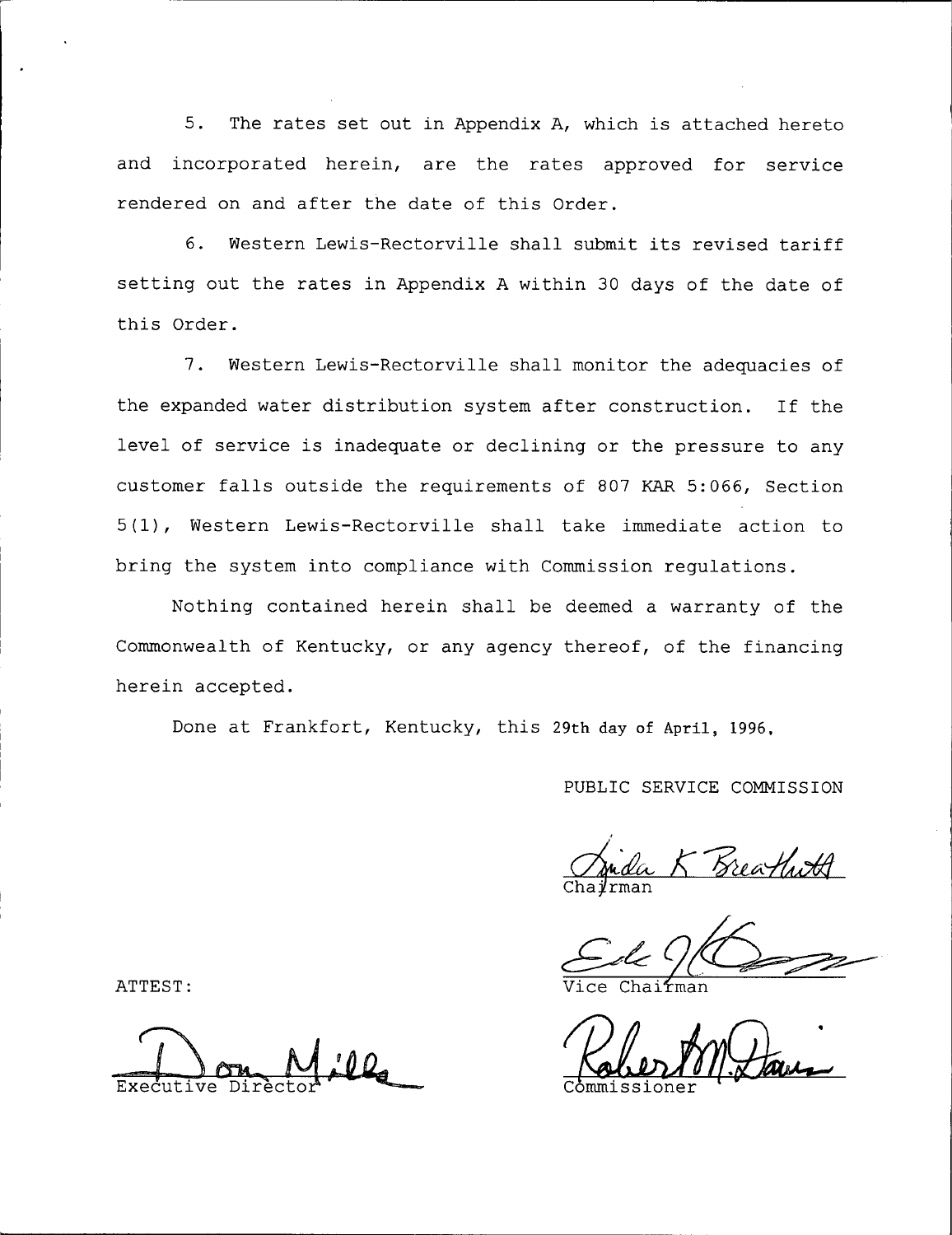5. The rates set out in Appendix A, which is attached hereto and incorporated herein, are the rates approved for service rendered on and after the date of this Order.

6. Western Lewis-Rectorville shall submit its revised tariff setting out the rates in Appendix <sup>A</sup> within 30 days of the date of this Order.

7. Western Lewis-Rectorville shall monitor the adequacies of the expanded water distribution system after construction. If the level of service is inadequate or declining or the pressure to any customer falls outside the requirements of 807 KAR 5:066, Section 5(1), Western Lewis-Rectorville shall take immediate action to bring the system into compliance with Commission regulations.

Nothing contained herein shall be deemed a warranty of the Commonwealth of Kentucky, or any agency thereof, of the financing herein accepted.

Done at Frankfort, Kentucky, this 29th day of April, 1996,

PUBLIC SERVICE COMMISSION

ATTEST:

Executive Director